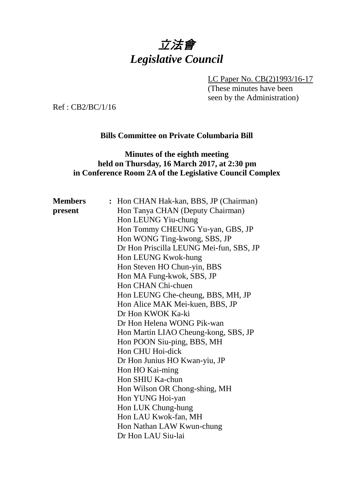# 立法會 *Legislative Council*

LC Paper No. CB(2)1993/16-17

(These minutes have been seen by the Administration)

Ref : CB2/BC/1/16

#### **Bills Committee on Private Columbaria Bill**

## **Minutes of the eighth meeting held on Thursday, 16 March 2017, at 2:30 pm in Conference Room 2A of the Legislative Council Complex**

| <b>Members</b> | : Hon CHAN Hak-kan, BBS, JP (Chairman)  |
|----------------|-----------------------------------------|
| present        | Hon Tanya CHAN (Deputy Chairman)        |
|                | Hon LEUNG Yiu-chung                     |
|                | Hon Tommy CHEUNG Yu-yan, GBS, JP        |
|                | Hon WONG Ting-kwong, SBS, JP            |
|                | Dr Hon Priscilla LEUNG Mei-fun, SBS, JP |
|                | Hon LEUNG Kwok-hung                     |
|                | Hon Steven HO Chun-yin, BBS             |
|                | Hon MA Fung-kwok, SBS, JP               |
|                | Hon CHAN Chi-chuen                      |
|                | Hon LEUNG Che-cheung, BBS, MH, JP       |
|                | Hon Alice MAK Mei-kuen, BBS, JP         |
|                | Dr Hon KWOK Ka-ki                       |
|                | Dr Hon Helena WONG Pik-wan              |
|                | Hon Martin LIAO Cheung-kong, SBS, JP    |
|                | Hon POON Siu-ping, BBS, MH              |
|                | Hon CHU Hoi-dick                        |
|                | Dr Hon Junius HO Kwan-yiu, JP           |
|                | Hon HO Kai-ming                         |
|                | Hon SHIU Ka-chun                        |
|                | Hon Wilson OR Chong-shing, MH           |
|                | Hon YUNG Hoi-yan                        |
|                | Hon LUK Chung-hung                      |
|                | Hon LAU Kwok-fan, MH                    |
|                | Hon Nathan LAW Kwun-chung               |
|                | Dr Hon LAU Siu-lai                      |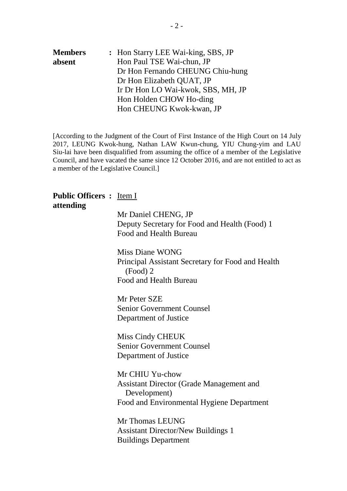| <b>Members</b> |                           | : Hon Starry LEE Wai-king, SBS, JP |
|----------------|---------------------------|------------------------------------|
| absent         | Hon Paul TSE Wai-chun, JP |                                    |
|                |                           | Dr Hon Fernando CHEUNG Chiu-hung   |
|                | Dr Hon Elizabeth QUAT, JP |                                    |
|                |                           | Ir Dr Hon LO Wai-kwok, SBS, MH, JP |
|                | Hon Holden CHOW Ho-ding   |                                    |
|                |                           | Hon CHEUNG Kwok-kwan, JP           |

[According to the Judgment of the Court of First Instance of the High Court on 14 July 2017, LEUNG Kwok-hung, Nathan LAW Kwun-chung, YIU Chung-yim and LAU Siu-lai have been disqualified from assuming the office of a member of the Legislative Council, and have vacated the same since 12 October 2016, and are not entitled to act as a member of the Legislative Council.]

#### **Public Officers :** Item I **attending**

Mr Daniel CHENG, JP Deputy Secretary for Food and Health (Food) 1 Food and Health Bureau

Miss Diane WONG Principal Assistant Secretary for Food and Health (Food) 2 Food and Health Bureau

Mr Peter SZE Senior Government Counsel Department of Justice

Miss Cindy CHEUK Senior Government Counsel Department of Justice

Mr CHIU Yu-chow Assistant Director (Grade Management and Development) Food and Environmental Hygiene Department

Mr Thomas LEUNG Assistant Director/New Buildings 1 Buildings Department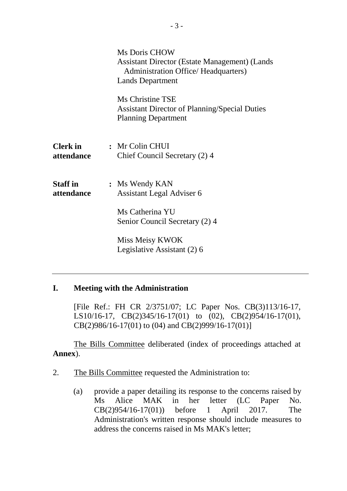|                               | Ms Doris CHOW<br><b>Assistant Director (Estate Management) (Lands</b><br><b>Administration Office/ Headquarters)</b><br><b>Lands Department</b> |
|-------------------------------|-------------------------------------------------------------------------------------------------------------------------------------------------|
|                               | Ms Christine TSE<br><b>Assistant Director of Planning/Special Duties</b><br><b>Planning Department</b>                                          |
| <b>Clerk</b> in<br>attendance | : Mr Colin CHUI<br>Chief Council Secretary (2) 4                                                                                                |
| <b>Staff</b> in<br>attendance | : Ms Wendy KAN<br><b>Assistant Legal Adviser 6</b>                                                                                              |
|                               | Ms Catherina YU<br>Senior Council Secretary (2) 4                                                                                               |
|                               | Miss Meisy KWOK<br>Legislative Assistant (2) 6                                                                                                  |

## **I. Meeting with the Administration**

[File Ref.: FH CR 2/3751/07; LC Paper Nos. CB(3)113/16-17, LS10/16-17, CB(2)345/16-17(01) to (02), CB(2)954/16-17(01), CB(2)986/16-17(01) to (04) and CB(2)999/16-17(01)]

The Bills Committee deliberated (index of proceedings attached at **Annex**).

- 2. The Bills Committee requested the Administration to:
	- (a) provide a paper detailing its response to the concerns raised by Ms Alice MAK in her letter (LC Paper No. CB(2)954/16-17(01)) before 1 April 2017. The Administration's written response should include measures to address the concerns raised in Ms MAK's letter;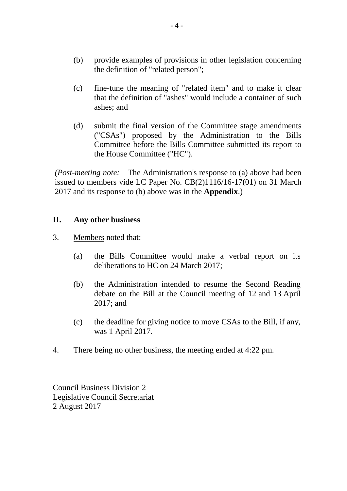- (b) provide examples of provisions in other legislation concerning the definition of "related person";
- (c) fine-tune the meaning of "related item" and to make it clear that the definition of "ashes" would include a container of such ashes; and
- (d) submit the final version of the Committee stage amendments ("CSAs") proposed by the Administration to the Bills Committee before the Bills Committee submitted its report to the House Committee ("HC").

*(Post-meeting note:* The Administration's response to (a) above had been issued to members vide LC Paper No. CB(2)1116/16-17(01) on 31 March 2017 and its response to (b) above was in the **Appendix**.)

### **II. Any other business**

- 3. Members noted that:
	- (a) the Bills Committee would make a verbal report on its deliberations to HC on 24 March 2017;
	- (b) the Administration intended to resume the Second Reading debate on the Bill at the Council meeting of 12 and 13 April 2017; and
	- (c) the deadline for giving notice to move CSAs to the Bill, if any, was 1 April 2017.
- 4. There being no other business, the meeting ended at 4:22 pm.

Council Business Division 2 Legislative Council Secretariat 2 August 2017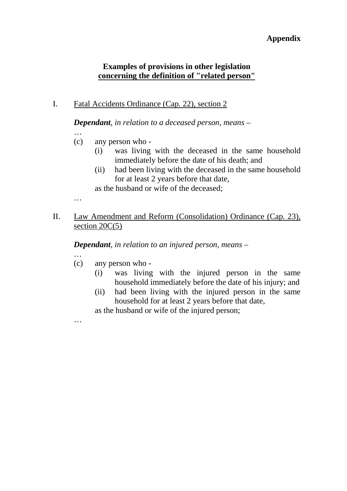## **Appendix**

## **Examples of provisions in other legislation concerning the definition of "related person"**

I. Fatal Accidents Ordinance (Cap. 22), section 2

*Dependant, in relation to a deceased person, means –*

- …
- (c) any person who
	- (i) was living with the deceased in the same household immediately before the date of his death; and
	- (ii) had been living with the deceased in the same household for at least 2 years before that date,

as the husband or wife of the deceased;

II. Law Amendment and Reform (Consolidation) Ordinance (Cap. 23), section 20C(5)

*Dependant, in relation to an injured person, means –*

…

…

…

- (c) any person who
	- (i) was living with the injured person in the same household immediately before the date of his injury; and
	- (ii) had been living with the injured person in the same household for at least 2 years before that date,

as the husband or wife of the injured person;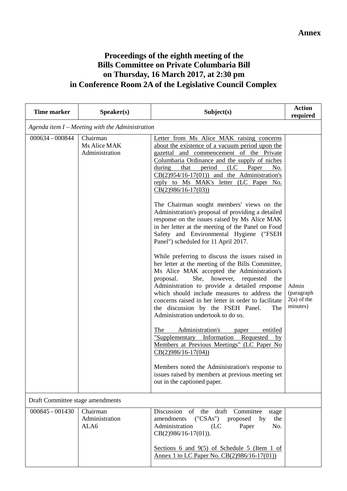# **Proceedings of the eighth meeting of the Bills Committee on Private Columbaria Bill on Thursday, 16 March 2017, at 2:30 pm in Conference Room 2A of the Legislative Council Complex**

| <b>Time marker</b> | Speaker(s)                                        | Subject(s)                                                                                                                                                                                                                                                                                                                                                                                                                                                                                                                                                                                                                                                                                                                                                                                                                                                                                                                                                                                                                                                                                                                                                                                                                                                                                                                                                                                                                | <b>Action</b><br>required                        |  |  |  |
|--------------------|---------------------------------------------------|---------------------------------------------------------------------------------------------------------------------------------------------------------------------------------------------------------------------------------------------------------------------------------------------------------------------------------------------------------------------------------------------------------------------------------------------------------------------------------------------------------------------------------------------------------------------------------------------------------------------------------------------------------------------------------------------------------------------------------------------------------------------------------------------------------------------------------------------------------------------------------------------------------------------------------------------------------------------------------------------------------------------------------------------------------------------------------------------------------------------------------------------------------------------------------------------------------------------------------------------------------------------------------------------------------------------------------------------------------------------------------------------------------------------------|--------------------------------------------------|--|--|--|
|                    | Agenda item $I$ – Meeting with the Administration |                                                                                                                                                                                                                                                                                                                                                                                                                                                                                                                                                                                                                                                                                                                                                                                                                                                                                                                                                                                                                                                                                                                                                                                                                                                                                                                                                                                                                           |                                                  |  |  |  |
| 000634 - 000844    | Chairman<br>Ms Alice MAK<br>Administration        | Letter from Ms Alice MAK raising concerns<br>about the existence of a vacuum period upon the<br>gazettal and commencement of the Private<br>Columbaria Ordinance and the supply of niches<br>$(LC$ Paper<br>during<br>that<br>period<br>No.<br>$CB(2)954/16-17(01))$ and the Administration's<br>reply to Ms MAK's letter (LC Paper No.<br>$CB(2)986/16-17(03))$<br>The Chairman sought members' views on the<br>Administration's proposal of providing a detailed<br>response on the issues raised by Ms Alice MAK<br>in her letter at the meeting of the Panel on Food<br>Safety and Environmental Hygiene ("FSEH<br>Panel") scheduled for 11 April 2017.<br>While preferring to discuss the issues raised in<br>her letter at the meeting of the Bills Committee,<br>Ms Alice MAK accepted the Administration's<br>She, however,<br>proposal.<br>requested<br>the<br>Administration to provide a detailed response<br>which should include measures to address the<br>concerns raised in her letter in order to facilitate<br>the discussion by the FSEH Panel.<br>The<br>Administration undertook to do so.<br>Administration's<br>The<br>entitled<br>paper<br>"Supplementary Information Requested<br>by<br>Members at Previous Meetings" (LC Paper No<br>$CB(2)986/16-17(04))$<br>Members noted the Administration's response to<br>issues raised by members at previous meeting set<br>out in the captioned paper. | Admin<br>(paragraph<br>$2(a)$ of the<br>minutes) |  |  |  |
|                    | Draft Committee stage amendments                  |                                                                                                                                                                                                                                                                                                                                                                                                                                                                                                                                                                                                                                                                                                                                                                                                                                                                                                                                                                                                                                                                                                                                                                                                                                                                                                                                                                                                                           |                                                  |  |  |  |
| 000845 - 001430    | Chairman<br>Administration<br>ALA6                | of the<br>draft<br>Discussion<br>Committee<br>stage<br>$(^{\circ}CSAs^{\circ})$<br>proposed<br>amendments<br>by<br>the<br>Administration<br>No.<br>(LC)<br>Paper<br>$CB(2)986/16-17(01)).$                                                                                                                                                                                                                                                                                                                                                                                                                                                                                                                                                                                                                                                                                                                                                                                                                                                                                                                                                                                                                                                                                                                                                                                                                                |                                                  |  |  |  |
|                    |                                                   | Sections 6 and $9(5)$ of Schedule 5 (Item 1 of<br>Annex 1 to LC Paper No. CB(2)986/16-17(01))                                                                                                                                                                                                                                                                                                                                                                                                                                                                                                                                                                                                                                                                                                                                                                                                                                                                                                                                                                                                                                                                                                                                                                                                                                                                                                                             |                                                  |  |  |  |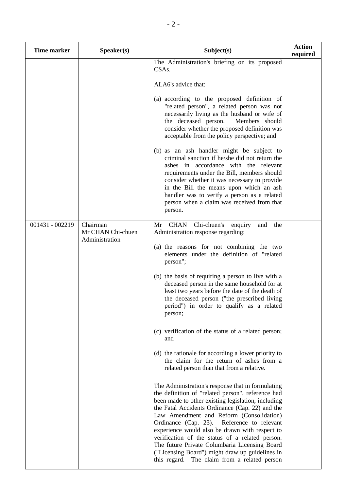| <b>Time marker</b> | Speaker(s)                                      | Subject(s)                                                                                                                                                                                                                                                                                                                                                                                                                                                                                                                                                                                                                                                                                                                                                                                                                                                                                                                                                                                                                                                                                                                                                                                                                                                   | <b>Action</b><br>required |
|--------------------|-------------------------------------------------|--------------------------------------------------------------------------------------------------------------------------------------------------------------------------------------------------------------------------------------------------------------------------------------------------------------------------------------------------------------------------------------------------------------------------------------------------------------------------------------------------------------------------------------------------------------------------------------------------------------------------------------------------------------------------------------------------------------------------------------------------------------------------------------------------------------------------------------------------------------------------------------------------------------------------------------------------------------------------------------------------------------------------------------------------------------------------------------------------------------------------------------------------------------------------------------------------------------------------------------------------------------|---------------------------|
|                    |                                                 | The Administration's briefing on its proposed<br>CSA <sub>s</sub> .<br>ALA6's advice that:<br>(a) according to the proposed definition of<br>"related person", a related person was not<br>necessarily living as the husband or wife of<br>the deceased person.<br>Members should<br>consider whether the proposed definition was<br>acceptable from the policy perspective; and                                                                                                                                                                                                                                                                                                                                                                                                                                                                                                                                                                                                                                                                                                                                                                                                                                                                             |                           |
|                    |                                                 | (b) as an ash handler might be subject to<br>criminal sanction if he/she did not return the<br>ashes in accordance with the relevant<br>requirements under the Bill, members should<br>consider whether it was necessary to provide<br>in the Bill the means upon which an ash<br>handler was to verify a person as a related<br>person when a claim was received from that<br>person.                                                                                                                                                                                                                                                                                                                                                                                                                                                                                                                                                                                                                                                                                                                                                                                                                                                                       |                           |
| 001431 - 002219    | Chairman<br>Mr CHAN Chi-chuen<br>Administration | Chi-chuen's<br><b>CHAN</b><br>Mr<br>and<br>the<br>enquiry<br>Administration response regarding:<br>(a) the reasons for not combining the two<br>elements under the definition of "related<br>person";<br>(b) the basis of requiring a person to live with a<br>deceased person in the same household for at<br>least two years before the date of the death of<br>the deceased person ("the prescribed living<br>period") in order to qualify as a related<br>person;<br>(c) verification of the status of a related person;<br>and<br>(d) the rationale for according a lower priority to<br>the claim for the return of ashes from a<br>related person than that from a relative.<br>The Administration's response that in formulating<br>the definition of "related person", reference had<br>been made to other existing legislation, including<br>the Fatal Accidents Ordinance (Cap. 22) and the<br>Law Amendment and Reform (Consolidation)<br>Ordinance (Cap. 23). Reference to relevant<br>experience would also be drawn with respect to<br>verification of the status of a related person.<br>The future Private Columbaria Licensing Board<br>("Licensing Board") might draw up guidelines in<br>this regard.<br>The claim from a related person |                           |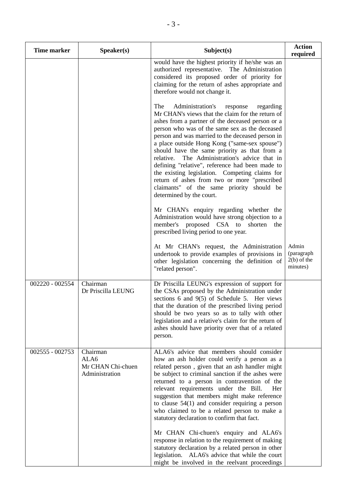| <b>Time marker</b> | Speaker(s)                                              | Subject(s)                                                                                                                                                                                                                                                                                                                                                                                                                                                                                                                                                                                                                                        | <b>Action</b><br>required                        |
|--------------------|---------------------------------------------------------|---------------------------------------------------------------------------------------------------------------------------------------------------------------------------------------------------------------------------------------------------------------------------------------------------------------------------------------------------------------------------------------------------------------------------------------------------------------------------------------------------------------------------------------------------------------------------------------------------------------------------------------------------|--------------------------------------------------|
|                    |                                                         | would have the highest priority if he/she was an<br>authorized representative. The Administration<br>considered its proposed order of priority for<br>claiming for the return of ashes appropriate and<br>therefore would not change it.                                                                                                                                                                                                                                                                                                                                                                                                          |                                                  |
|                    |                                                         | Administration's<br>The<br>regarding<br>response<br>Mr CHAN's views that the claim for the return of<br>ashes from a partner of the deceased person or a<br>person who was of the same sex as the deceased<br>person and was married to the deceased person in<br>a place outside Hong Kong ("same-sex spouse")<br>should have the same priority as that from a<br>The Administration's advice that in<br>relative.<br>defining "relative", reference had been made to<br>the existing legislation. Competing claims for<br>return of ashes from two or more "prescribed<br>claimants" of the same priority should be<br>determined by the court. |                                                  |
|                    |                                                         | Mr CHAN's enquiry regarding whether the<br>Administration would have strong objection to a<br>member's<br>proposed CSA to<br>shorten<br>the<br>prescribed living period to one year.                                                                                                                                                                                                                                                                                                                                                                                                                                                              |                                                  |
|                    |                                                         | At Mr CHAN's request, the Administration<br>undertook to provide examples of provisions in<br>other legislation concerning the definition of<br>"related person".                                                                                                                                                                                                                                                                                                                                                                                                                                                                                 | Admin<br>(paragraph<br>$2(b)$ of the<br>minutes) |
| 002220 - 002554    | Chairman<br>Dr Priscilla LEUNG                          | Dr Priscilla LEUNG's expression of support for<br>the CSAs proposed by the Administration under<br>sections 6 and 9(5) of Schedule 5. Her views<br>that the duration of the prescribed living period<br>should be two years so as to tally with other<br>legislation and a relative's claim for the return of<br>ashes should have priority over that of a related<br>person.                                                                                                                                                                                                                                                                     |                                                  |
| 002555 - 002753    | Chairman<br>ALA6<br>Mr CHAN Chi-chuen<br>Administration | ALA6's advice that members should consider<br>how an ash holder could verify a person as a<br>related person, given that an ash handler might<br>be subject to criminal sanction if the ashes were<br>returned to a person in contravention of the<br>relevant requirements under the Bill.<br>Her<br>suggestion that members might make reference<br>to clause $54(1)$ and consider requiring a person<br>who claimed to be a related person to make a<br>statutory declaration to confirm that fact.                                                                                                                                            |                                                  |
|                    |                                                         | Mr CHAN Chi-chuen's enquiry and ALA6's<br>response in relation to the requirement of making<br>statutory declaration by a related person in other<br>legislation. ALA6's advice that while the court<br>might be involved in the reelvant proceedings                                                                                                                                                                                                                                                                                                                                                                                             |                                                  |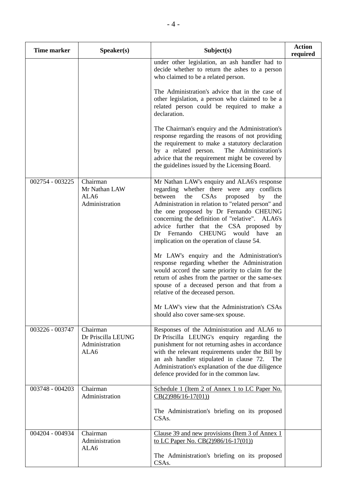| <b>Time marker</b> | Speaker(s)                                               | Subject(s)                                                                                                                                                                                                                                                                                                                                                                                                                         | <b>Action</b><br>required |
|--------------------|----------------------------------------------------------|------------------------------------------------------------------------------------------------------------------------------------------------------------------------------------------------------------------------------------------------------------------------------------------------------------------------------------------------------------------------------------------------------------------------------------|---------------------------|
|                    |                                                          | under other legislation, an ash handler had to<br>decide whether to return the ashes to a person<br>who claimed to be a related person.                                                                                                                                                                                                                                                                                            |                           |
|                    |                                                          | The Administration's advice that in the case of<br>other legislation, a person who claimed to be a<br>related person could be required to make a<br>declaration.                                                                                                                                                                                                                                                                   |                           |
|                    |                                                          | The Chairman's enquiry and the Administration's<br>response regarding the reasons of not providing<br>the requirement to make a statutory declaration<br>by a related person.<br>The Administration's<br>advice that the requirement might be covered by<br>the guidelines issued by the Licensing Board.                                                                                                                          |                           |
| 002754 - 003225    | Chairman<br>Mr Nathan LAW<br>ALA6<br>Administration      | Mr Nathan LAW's enquiry and ALA6's response<br>regarding whether there were any conflicts<br>CSAs<br>the<br>proposed<br>between<br>by<br>the<br>Administration in relation to "related person" and<br>the one proposed by Dr Fernando CHEUNG<br>concerning the definition of "relative". ALA6's<br>advice further that the CSA proposed by<br>CHEUNG would have<br>Dr Fernando<br>an<br>implication on the operation of clause 54. |                           |
|                    |                                                          | Mr LAW's enquiry and the Administration's<br>response regarding whether the Administration<br>would accord the same priority to claim for the<br>return of ashes from the partner or the same-sex<br>spouse of a deceased person and that from a<br>relative of the deceased person.                                                                                                                                               |                           |
|                    |                                                          | Mr LAW's view that the Administration's CSAs<br>should also cover same-sex spouse.                                                                                                                                                                                                                                                                                                                                                 |                           |
| 003226 - 003747    | Chairman<br>Dr Priscilla LEUNG<br>Administration<br>ALA6 | Responses of the Administration and ALA6 to<br>Dr Priscilla LEUNG's enquiry regarding the<br>punishment for not returning ashes in accordance<br>with the relevant requirements under the Bill by<br>an ash handler stipulated in clause 72.<br>The<br>Administration's explanation of the due diligence<br>defence provided for in the common law.                                                                                |                           |
| 003748 - 004203    | Chairman<br>Administration                               | Schedule 1 (Item 2 of Annex 1 to LC Paper No.<br>$CB(2)986/16-17(01))$                                                                                                                                                                                                                                                                                                                                                             |                           |
|                    |                                                          | The Administration's briefing on its proposed<br>CSA <sub>s</sub> .                                                                                                                                                                                                                                                                                                                                                                |                           |
| 004204 - 004934    | Chairman<br>Administration<br>ALA6                       | Clause 39 and new provisions (Item 3 of Annex 1)<br>to LC Paper No. CB(2)986/16-17(01)                                                                                                                                                                                                                                                                                                                                             |                           |
|                    |                                                          | The Administration's briefing on its proposed<br>CSAs.                                                                                                                                                                                                                                                                                                                                                                             |                           |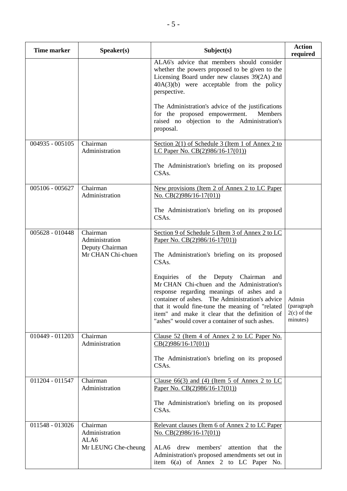| <b>Time marker</b> | S <sub>p</sub> e <sub>aker(s)</sub>  | Subject(s)                                                                                                                                                                                                                                                                                                                                       | <b>Action</b><br>required                        |
|--------------------|--------------------------------------|--------------------------------------------------------------------------------------------------------------------------------------------------------------------------------------------------------------------------------------------------------------------------------------------------------------------------------------------------|--------------------------------------------------|
|                    |                                      | ALA6's advice that members should consider<br>whether the powers proposed to be given to the<br>Licensing Board under new clauses 39(2A) and<br>$40A(3)(b)$ were acceptable from the policy<br>perspective.                                                                                                                                      |                                                  |
|                    |                                      | The Administration's advice of the justifications<br>for the proposed empowerment.<br>Members<br>raised no objection to the Administration's<br>proposal.                                                                                                                                                                                        |                                                  |
| 004935 - 005105    | Chairman<br>Administration           | Section $2(1)$ of Schedule 3 (Item 1 of Annex 2 to<br>LC Paper No. CB(2)986/16-17(01))                                                                                                                                                                                                                                                           |                                                  |
|                    |                                      | The Administration's briefing on its proposed<br>CSA <sub>s</sub> .                                                                                                                                                                                                                                                                              |                                                  |
| 005106 - 005627    | Chairman<br>Administration           | New provisions (Item 2 of Annex 2 to LC Paper<br>No. $CB(2)986/16-17(01)$                                                                                                                                                                                                                                                                        |                                                  |
|                    |                                      | The Administration's briefing on its proposed<br>CSA <sub>s</sub> .                                                                                                                                                                                                                                                                              |                                                  |
| 005628 - 010448    | Chairman<br>Administration           | Section 9 of Schedule 5 (Item 3 of Annex 2 to LC<br>Paper No. $CB(2)986/16-17(01)$                                                                                                                                                                                                                                                               |                                                  |
|                    | Deputy Chairman<br>Mr CHAN Chi-chuen | The Administration's briefing on its proposed<br>CSA <sub>s</sub> .                                                                                                                                                                                                                                                                              |                                                  |
|                    |                                      | Enquiries of the<br>Deputy Chairman<br>and<br>Mr CHAN Chi-chuen and the Administration's<br>response regarding meanings of ashes and a<br>container of ashes. The Administration's advice<br>that it would fine-tune the meaning of "related<br>item" and make it clear that the definition of<br>"ashes" would cover a container of such ashes. | Admin<br>(paragraph<br>$2(c)$ of the<br>minutes) |
| 010449 - 011203    | Chairman<br>Administration           | Clause 52 (Item 4 of Annex 2 to LC Paper No.<br>$CB(2)986/16-17(01))$                                                                                                                                                                                                                                                                            |                                                  |
|                    |                                      | The Administration's briefing on its proposed<br>CSA <sub>s</sub> .                                                                                                                                                                                                                                                                              |                                                  |
| 011204 - 011547    | Chairman<br>Administration           | Clause $66(3)$ and (4) (Item 5 of Annex 2 to LC<br>Paper No. $CB(2)986/16-17(01)$                                                                                                                                                                                                                                                                |                                                  |
|                    |                                      | The Administration's briefing on its proposed<br>CSA <sub>s</sub> .                                                                                                                                                                                                                                                                              |                                                  |
| 011548 - 013026    | Chairman<br>Administration<br>ALA6   | Relevant clauses (Item 6 of Annex 2 to LC Paper<br>No. $CB(2)986/16-17(01)$                                                                                                                                                                                                                                                                      |                                                  |
|                    | Mr LEUNG Che-cheung                  | ALA6 drew members'<br>attention<br>that<br>the<br>Administration's proposed amendments set out in<br>item $6(a)$ of Annex 2 to LC Paper No.                                                                                                                                                                                                      |                                                  |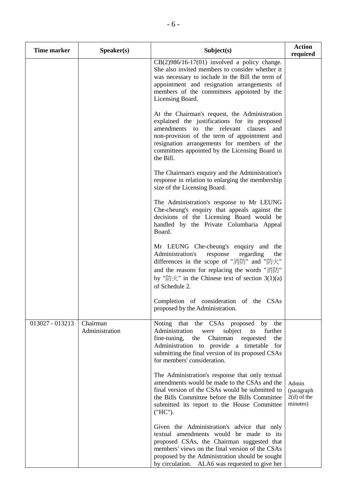| <b>Time marker</b> | Speaker(s)                 | Subject(s)                                                                                                                                                                                                                                                                                                | <b>Action</b><br>required                        |
|--------------------|----------------------------|-----------------------------------------------------------------------------------------------------------------------------------------------------------------------------------------------------------------------------------------------------------------------------------------------------------|--------------------------------------------------|
|                    |                            | $CB(2)986/16-17(01)$ involved a policy change.<br>She also invited members to consider whether it<br>was necessary to include in the Bill the term of<br>appointment and resignation arrangements of<br>members of the committees appointed by the<br>Licensing Board.                                    |                                                  |
|                    |                            | At the Chairman's request, the Administration<br>explained the justifications for its proposed<br>amendments to the relevant clauses<br>and<br>non-provision of the term of appointment and<br>resignation arrangements for members of the<br>committees appointed by the Licensing Board in<br>the Bill. |                                                  |
|                    |                            | The Chairman's enquiry and the Administration's<br>response in relation to enlarging the membership<br>size of the Licensing Board.                                                                                                                                                                       |                                                  |
|                    |                            | The Administration's response to Mr LEUNG<br>Che-cheung's enquiry that appeals against the<br>decisions of the Licensing Board would be<br>handled by the Private Columbaria Appeal<br>Board.                                                                                                             |                                                  |
|                    |                            | Mr LEUNG Che-cheung's enquiry and the<br>Administration's<br>response<br>regarding<br>the<br>differences in the scope of "消防" and "防火"<br>and the reasons for replacing the words "消防"<br>by "防火" in the Chinese text of section $3(1)(a)$<br>of Schedule 2.                                              |                                                  |
|                    |                            | Completion of consideration of the CSAs<br>proposed by the Administration.                                                                                                                                                                                                                                |                                                  |
| 013027 - 013213    | Chairman<br>Administration | Noting that the CSAs proposed by the<br>Administration<br>subject<br>further<br>were<br>to<br>fine-tuning, the Chairman<br>requested<br>the<br>Administration to provide a timetable<br>for<br>submitting the final version of its proposed CSAs<br>for members' consideration.                           |                                                  |
|                    |                            | The Administration's response that only textual<br>amendments would be made to the CSAs and the<br>final version of the CSAs would be submitted to<br>the Bills Committee before the Bills Committee<br>submitted its report to the House Committee<br>("HC").                                            | Admin<br>(paragraph<br>$2(d)$ of the<br>minutes) |
|                    |                            | Given the Administration's advice that only<br>textual amendments would be made to its<br>proposed CSAs, the Chairman suggested that<br>members' views on the final version of the CSAs<br>proposed by the Administration should be sought<br>by circulation. ALA6 was requested to give her              |                                                  |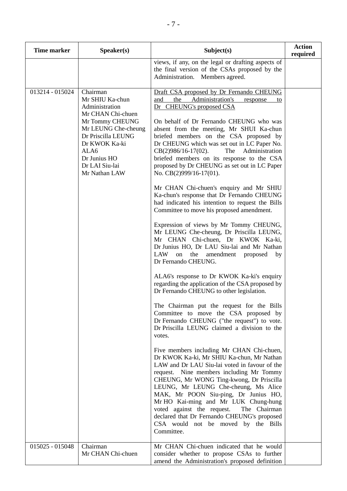| <b>Time marker</b> | Speaker(s)                                                                                                                                                                                                     | Subject(s)                                                                                                                                                                                                                                                                                                                                                                                                                                                                                                                                                                                                                                                                                                                                                                                                                                                                                                                                                                                                                                                                                                                                                                                                                                                                                                                                                                                                                                                                                                                                                                                                                                                                                                                                                                                    | <b>Action</b><br>required |
|--------------------|----------------------------------------------------------------------------------------------------------------------------------------------------------------------------------------------------------------|-----------------------------------------------------------------------------------------------------------------------------------------------------------------------------------------------------------------------------------------------------------------------------------------------------------------------------------------------------------------------------------------------------------------------------------------------------------------------------------------------------------------------------------------------------------------------------------------------------------------------------------------------------------------------------------------------------------------------------------------------------------------------------------------------------------------------------------------------------------------------------------------------------------------------------------------------------------------------------------------------------------------------------------------------------------------------------------------------------------------------------------------------------------------------------------------------------------------------------------------------------------------------------------------------------------------------------------------------------------------------------------------------------------------------------------------------------------------------------------------------------------------------------------------------------------------------------------------------------------------------------------------------------------------------------------------------------------------------------------------------------------------------------------------------|---------------------------|
|                    |                                                                                                                                                                                                                | views, if any, on the legal or drafting aspects of<br>the final version of the CSAs proposed by the<br>Administration. Members agreed.                                                                                                                                                                                                                                                                                                                                                                                                                                                                                                                                                                                                                                                                                                                                                                                                                                                                                                                                                                                                                                                                                                                                                                                                                                                                                                                                                                                                                                                                                                                                                                                                                                                        |                           |
| 013214 - 015024    | Chairman<br>Mr SHIU Ka-chun<br>Administration<br>Mr CHAN Chi-chuen<br>Mr Tommy CHEUNG<br>Mr LEUNG Che-cheung<br>Dr Priscilla LEUNG<br>Dr KWOK Ka-ki<br>ALA6<br>Dr Junius HO<br>Dr LAI Siu-lai<br>Mr Nathan LAW | Draft CSA proposed by Dr Fernando CHEUNG<br>Administration's<br>the<br>and<br>response<br>to<br>Dr CHEUNG's proposed CSA<br>On behalf of Dr Fernando CHEUNG who was<br>absent from the meeting, Mr SHUI Ka-chun<br>briefed members on the CSA proposed by<br>Dr CHEUNG which was set out in LC Paper No.<br>Administration<br>$CB(2)986/16-17(02)$ .<br>The<br>briefed members on its response to the CSA<br>proposed by Dr CHEUNG as set out in LC Paper<br>No. CB(2)999/16-17(01).<br>Mr CHAN Chi-chuen's enquiry and Mr SHIU<br>Ka-chun's response that Dr Fernando CHEUNG<br>had indicated his intention to request the Bills<br>Committee to move his proposed amendment.<br>Expression of views by Mr Tommy CHEUNG,<br>Mr LEUNG Che-cheung, Dr Priscilla LEUNG,<br>Mr CHAN Chi-chuen, Dr KWOK Ka-ki,<br>Dr Junius HO, Dr LAU Siu-lai and Mr Nathan<br>LAW<br>the<br>amendment<br>on<br>proposed<br>by<br>Dr Fernando CHEUNG.<br>ALA6's response to Dr KWOK Ka-ki's enquiry<br>regarding the application of the CSA proposed by<br>Dr Fernando CHEUNG to other legislation.<br>The Chairman put the request for the Bills<br>Committee to move the CSA proposed by<br>Dr Fernando CHEUNG ("the request") to vote.<br>Dr Priscilla LEUNG claimed a division to the<br>votes.<br>Five members including Mr CHAN Chi-chuen,<br>Dr KWOK Ka-ki, Mr SHIU Ka-chun, Mr Nathan<br>LAW and Dr LAU Siu-lai voted in favour of the<br>request. Nine members including Mr Tommy<br>CHEUNG, Mr WONG Ting-kwong, Dr Priscilla<br>LEUNG, Mr LEUNG Che-cheung, Ms Alice<br>MAK, Mr POON Siu-ping, Dr Junius HO,<br>Mr HO Kai-ming and Mr LUK Chung-hung<br>voted against the request.<br>The Chairman<br>declared that Dr Fernando CHEUNG's proposed<br>CSA would not be moved by the Bills<br>Committee. |                           |
| 015025 - 015048    | Chairman<br>Mr CHAN Chi-chuen                                                                                                                                                                                  | Mr CHAN Chi-chuen indicated that he would<br>consider whether to propose CSAs to further<br>amend the Administration's proposed definition                                                                                                                                                                                                                                                                                                                                                                                                                                                                                                                                                                                                                                                                                                                                                                                                                                                                                                                                                                                                                                                                                                                                                                                                                                                                                                                                                                                                                                                                                                                                                                                                                                                    |                           |